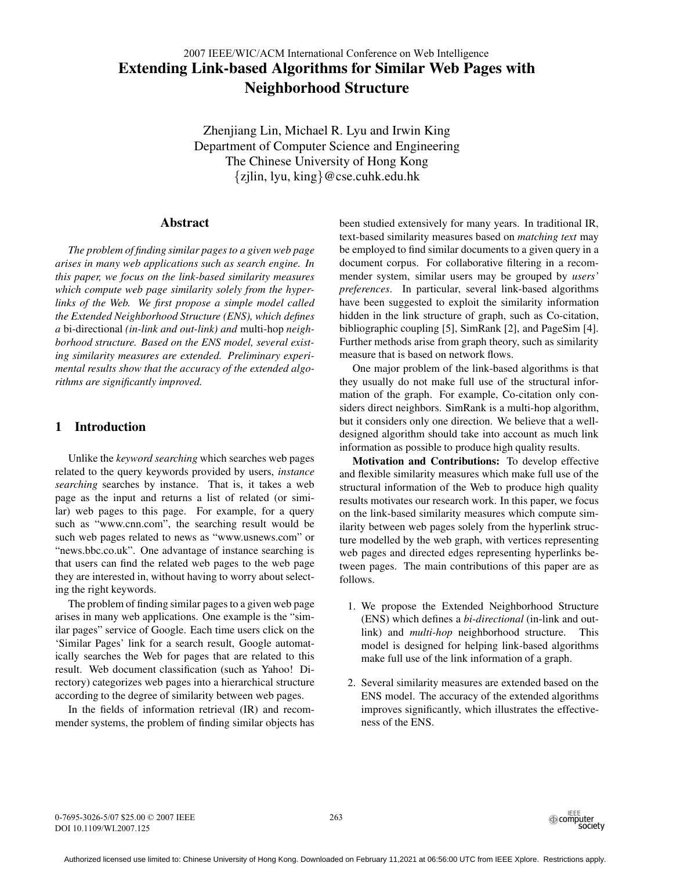# **Extending Link-based Algorithms for Similar Web Pages with Neighborhood Structure** 2007 IEEE/WIC/ACM International Conference on Web Intelligence

Zhenjiang Lin, Michael R. Lyu and Irwin King Department of Computer Science and Engineering The Chinese University of Hong Kong {zjlin, lyu, king}@cse.cuhk.edu.hk

# **Abstract**

*The problem of finding similar pages to a given web page arises in many web applications such as search engine. In this paper, we focus on the link-based similarity measures which compute web page similarity solely from the hyperlinks of the Web. We first propose a simple model called the Extended Neighborhood Structure (ENS), which defines a* bi-directional *(in-link and out-link) and* multi-hop *neighborhood structure. Based on the ENS model, several existing similarity measures are extended. Preliminary experimental results show that the accuracy of the extended algorithms are significantly improved.*

# **1 Introduction**

Unlike the *keyword searching* which searches web pages related to the query keywords provided by users, *instance searching* searches by instance. That is, it takes a web page as the input and returns a list of related (or similar) web pages to this page. For example, for a query such as "www.cnn.com", the searching result would be such web pages related to news as "www.usnews.com" or "news.bbc.co.uk". One advantage of instance searching is that users can find the related web pages to the web page they are interested in, without having to worry about selecting the right keywords.

The problem of finding similar pages to a given web page arises in many web applications. One example is the "similar pages" service of Google. Each time users click on the 'Similar Pages' link for a search result, Google automatically searches the Web for pages that are related to this result. Web document classification (such as Yahoo! Directory) categorizes web pages into a hierarchical structure according to the degree of similarity between web pages.

In the fields of information retrieval (IR) and recommender systems, the problem of finding similar objects has been studied extensively for many years. In traditional IR, text-based similarity measures based on *matching text* may be employed to find similar documents to a given query in a document corpus. For collaborative filtering in a recommender system, similar users may be grouped by *users' preferences*. In particular, several link-based algorithms have been suggested to exploit the similarity information hidden in the link structure of graph, such as Co-citation, bibliographic coupling [5], SimRank [2], and PageSim [4]. Further methods arise from graph theory, such as similarity measure that is based on network flows.

One major problem of the link-based algorithms is that they usually do not make full use of the structural information of the graph. For example, Co-citation only considers direct neighbors. SimRank is a multi-hop algorithm, but it considers only one direction. We believe that a welldesigned algorithm should take into account as much link information as possible to produce high quality results.

**Motivation and Contributions:** To develop effective and flexible similarity measures which make full use of the structural information of the Web to produce high quality results motivates our research work. In this paper, we focus on the link-based similarity measures which compute similarity between web pages solely from the hyperlink structure modelled by the web graph, with vertices representing web pages and directed edges representing hyperlinks between pages. The main contributions of this paper are as follows.

- 1. We propose the Extended Neighborhood Structure (ENS) which defines a *bi-directional* (in-link and outlink) and *multi-hop* neighborhood structure. This model is designed for helping link-based algorithms make full use of the link information of a graph.
- 2. Several similarity measures are extended based on the ENS model. The accuracy of the extended algorithms improves significantly, which illustrates the effectiveness of the ENS.

263

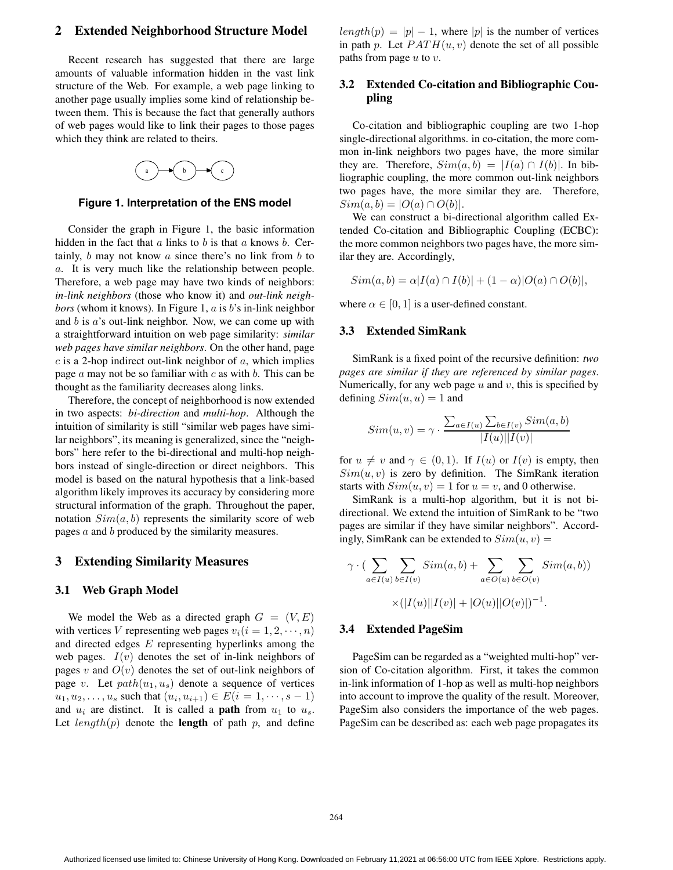### **2 Extended Neighborhood Structure Model**

Recent research has suggested that there are large amounts of valuable information hidden in the vast link structure of the Web. For example, a web page linking to another page usually implies some kind of relationship between them. This is because the fact that generally authors of web pages would like to link their pages to those pages which they think are related to theirs.



**Figure 1. Interpretation of the ENS model**

Consider the graph in Figure 1, the basic information hidden in the fact that  $a$  links to  $b$  is that  $a$  knows  $b$ . Certainly,  $b$  may not know  $a$  since there's no link from  $b$  to a. It is very much like the relationship between people. Therefore, a web page may have two kinds of neighbors: *in-link neighbors* (those who know it) and *out-link neighbors* (whom it knows). In Figure 1, *a* is *b*'s in-link neighbor and  $b$  is  $a$ 's out-link neighbor. Now, we can come up with a straightforward intuition on web page similarity: *similar web pages have similar neighbors*. On the other hand, page  $c$  is a 2-hop indirect out-link neighbor of  $a$ , which implies page  $a$  may not be so familiar with  $c$  as with  $b$ . This can be thought as the familiarity decreases along links.

Therefore, the concept of neighborhood is now extended in two aspects: *bi-direction* and *multi-hop*. Although the intuition of similarity is still "similar web pages have similar neighbors", its meaning is generalized, since the "neighbors" here refer to the bi-directional and multi-hop neighbors instead of single-direction or direct neighbors. This model is based on the natural hypothesis that a link-based algorithm likely improves its accuracy by considering more structural information of the graph. Throughout the paper, notation  $Sim(a, b)$  represents the similarity score of web pages a and b produced by the similarity measures.

### **3 Extending Similarity Measures**

#### **3.1 Web Graph Model**

We model the Web as a directed graph  $G = (V, E)$ with vertices V representing web pages  $v_i(i = 1, 2, \dots, n)$ and directed edges E representing hyperlinks among the web pages.  $I(v)$  denotes the set of in-link neighbors of pages v and  $O(v)$  denotes the set of out-link neighbors of page v. Let  $path(u_1, u_s)$  denote a sequence of vertices  $u_1, u_2, \ldots, u_s$  such that  $(u_i, u_{i+1}) \in E(i = 1, \dots, s - 1)$ and  $u_i$  are distinct. It is called a **path** from  $u_1$  to  $u_s$ . Let  $length(p)$  denote the **length** of path p, and define

 $length(p) = |p| - 1$ , where |p| is the number of vertices in path p. Let  $PATH(u, v)$  denote the set of all possible paths from page  $u$  to  $v$ .

# **3.2 Extended Co-citation and Bibliographic Coupling**

Co-citation and bibliographic coupling are two 1-hop single-directional algorithms. in co-citation, the more common in-link neighbors two pages have, the more similar they are. Therefore,  $Sim(a, b) = |I(a) \cap I(b)|$ . In bibliographic coupling, the more common out-link neighbors two pages have, the more similar they are. Therefore,  $Sim(a, b) = |O(a) \cap O(b)|$ .

We can construct a bi-directional algorithm called Extended Co-citation and Bibliographic Coupling (ECBC): the more common neighbors two pages have, the more similar they are. Accordingly,

 $Sim(a, b) = \alpha | I(a) \cap I(b) | + (1 - \alpha) | O(a) \cap O(b) |$ 

where  $\alpha \in [0, 1]$  is a user-defined constant.

### **3.3 Extended SimRank**

SimRank is a fixed point of the recursive definition: *two pages are similar if they are referenced by similar pages*. Numerically, for any web page  $u$  and  $v$ , this is specified by defining  $Sim(u, u) = 1$  and

$$
Sim(u, v) = \gamma \cdot \frac{\sum_{a \in I(u)} \sum_{b \in I(v)} Sim(a, b)}{|I(u)||I(v)|}
$$

for  $u \neq v$  and  $\gamma \in (0,1)$ . If  $I(u)$  or  $I(v)$  is empty, then  $Sim(u, v)$  is zero by definition. The SimRank iteration starts with  $Sim(u, v) = 1$  for  $u = v$ , and 0 otherwise.

SimRank is a multi-hop algorithm, but it is not bidirectional. We extend the intuition of SimRank to be "two pages are similar if they have similar neighbors". Accordingly, SimRank can be extended to  $Sim(u, v) =$ 

$$
\gamma \cdot (\sum_{a \in I(u)} \sum_{b \in I(v)} Sim(a, b) + \sum_{a \in O(u)} \sum_{b \in O(v)} Sim(a, b))
$$

$$
\times (|I(u)||I(v)| + |O(u)||O(v)|)^{-1}.
$$

#### **3.4 Extended PageSim**

PageSim can be regarded as a "weighted multi-hop" version of Co-citation algorithm. First, it takes the common in-link information of 1-hop as well as multi-hop neighbors into account to improve the quality of the result. Moreover, PageSim also considers the importance of the web pages. PageSim can be described as: each web page propagates its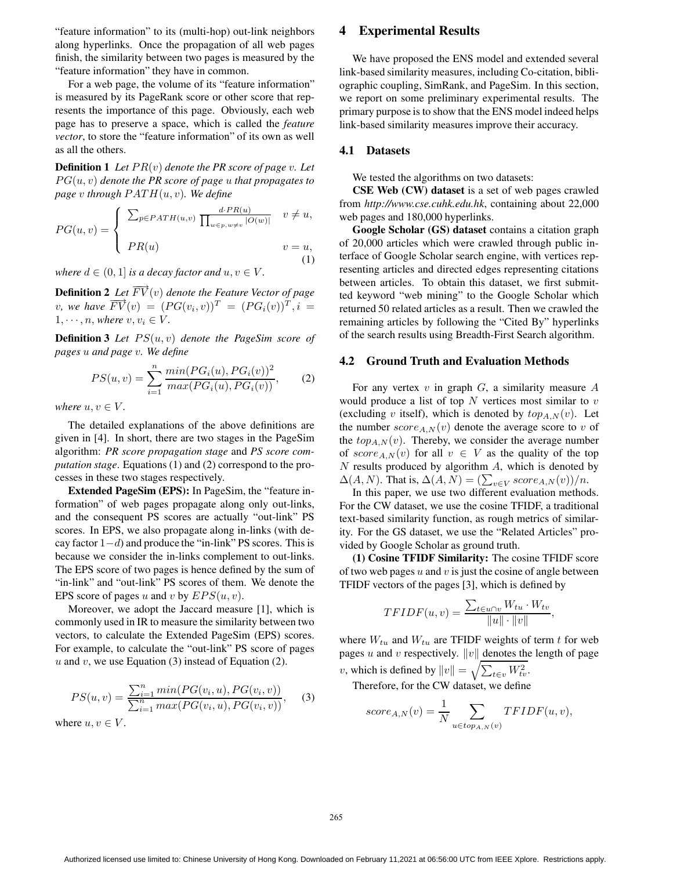"feature information" to its (multi-hop) out-link neighbors along hyperlinks. Once the propagation of all web pages finish, the similarity between two pages is measured by the "feature information" they have in common.

For a web page, the volume of its "feature information" is measured by its PageRank score or other score that represents the importance of this page. Obviously, each web page has to preserve a space, which is called the *feature vector*, to store the "feature information" of its own as well as all the others.

**Definition 1** *Let*  $PR(v)$  *denote the*  $PR$  *score of page*  $v$ *. Let*  $PG(u, v)$  *denote the PR score of page u that propagates to page* v through  $PATH(u, v)$ *. We define* 

$$
PG(u, v) = \begin{cases} \sum_{p \in PATH(u, v)} \frac{d \cdot PR(u)}{\prod_{w \in p, w \neq v} |O(w)|} & v \neq u, \\ PR(u) & v = u, \end{cases}
$$
 (1)

*where*  $d \in (0, 1]$  *is a decay factor and*  $u, v \in V$ *.* 

**Definition 2** *Let*  $\overrightarrow{FV}(v)$  *denote the Feature Vector of page v*, *we* have  $\overrightarrow{FV}(v) = (PG(v_i, v))^T = (PG_i(v))^T$ ,  $i =$  $1, \dots, n$ , *where*  $v, v_i \in V$ .

**Definition 3** *Let* PS(u, v) *denote the PageSim score of pages* u *and page* v*. We define*

$$
PS(u, v) = \sum_{i=1}^{n} \frac{\min(PG_i(u), PG_i(v))^2}{\max(PG_i(u), PG_i(v))},
$$
 (2)

*where*  $u, v \in V$ .

The detailed explanations of the above definitions are given in [4]. In short, there are two stages in the PageSim algorithm: *PR score propagation stage* and *PS score computation stage*. Equations (1) and (2) correspond to the processes in these two stages respectively.

**Extended PageSim (EPS):** In PageSim, the "feature information" of web pages propagate along only out-links, and the consequent PS scores are actually "out-link" PS scores. In EPS, we also propagate along in-links (with decay factor  $1-d$ ) and produce the "in-link" PS scores. This is because we consider the in-links complement to out-links. The EPS score of two pages is hence defined by the sum of "in-link" and "out-link" PS scores of them. We denote the EPS score of pages u and v by  $EPS(u, v)$ .

Moreover, we adopt the Jaccard measure [1], which is commonly used in IR to measure the similarity between two vectors, to calculate the Extended PageSim (EPS) scores. For example, to calculate the "out-link" PS score of pages u and v, we use Equation (3) instead of Equation (2).

$$
PS(u, v) = \frac{\sum_{i=1}^{n} \min(PG(v_i, u), PG(v_i, v))}{\sum_{i=1}^{n} \max(PG(v_i, u), PG(v_i, v))},
$$
(3)

where  $u, v \in V$ .

### **4 Experimental Results**

We have proposed the ENS model and extended several link-based similarity measures, including Co-citation, bibliographic coupling, SimRank, and PageSim. In this section, we report on some preliminary experimental results. The primary purpose is to show that the ENS model indeed helps link-based similarity measures improve their accuracy.

# **4.1 Datasets**

We tested the algorithms on two datasets:

**CSE Web (CW) dataset** is a set of web pages crawled from *http://www.cse.cuhk.edu.hk*, containing about 22,000 web pages and 180,000 hyperlinks.

**Google Scholar (GS) dataset** contains a citation graph of 20,000 articles which were crawled through public interface of Google Scholar search engine, with vertices representing articles and directed edges representing citations between articles. To obtain this dataset, we first submitted keyword "web mining" to the Google Scholar which returned 50 related articles as a result. Then we crawled the remaining articles by following the "Cited By" hyperlinks of the search results using Breadth-First Search algorithm.

### **4.2 Ground Truth and Evaluation Methods**

For any vertex  $v$  in graph  $G$ , a similarity measure  $A$ would produce a list of top  $N$  vertices most similar to  $v$ (excluding v itself), which is denoted by  $top_{A,N}(v)$ . Let the number  $score_{A,N}(v)$  denote the average score to v of the  $top_{A,N}(v)$ . Thereby, we consider the average number of  $score_{A,N}(v)$  for all  $v \in V$  as the quality of the top  $N$  results produced by algorithm  $A$ , which is denoted by  $\Delta(A, N)$ . That is,  $\Delta(A, N) = (\sum_{v \in V} score_{A, N}(v))/n$ .

In this paper, we use two different evaluation methods. For the CW dataset, we use the cosine TFIDF, a traditional text-based similarity function, as rough metrics of similarity. For the GS dataset, we use the "Related Articles" provided by Google Scholar as ground truth.

**(1) Cosine TFIDF Similarity:** The cosine TFIDF score of two web pages  $u$  and  $v$  is just the cosine of angle between TFIDF vectors of the pages [3], which is defined by

$$
TFIDF(u, v) = \frac{\sum_{t \in u \cap v} W_{tu} \cdot W_{tv}}{\|u\| \cdot \|v\|},
$$

where  $W_{tu}$  and  $W_{tu}$  are TFIDF weights of term t for web pages u and v respectively.  $||v||$  denotes the length of page v, which is defined by  $||v|| = \sqrt{\sum_{t \in v} W_{tv}^2}$ .

Therefore, for the CW dataset, we define

$$
score_{A,N}(v) = \frac{1}{N} \sum_{u \in top_{A,N}(v)} TFIDF(u,v),
$$